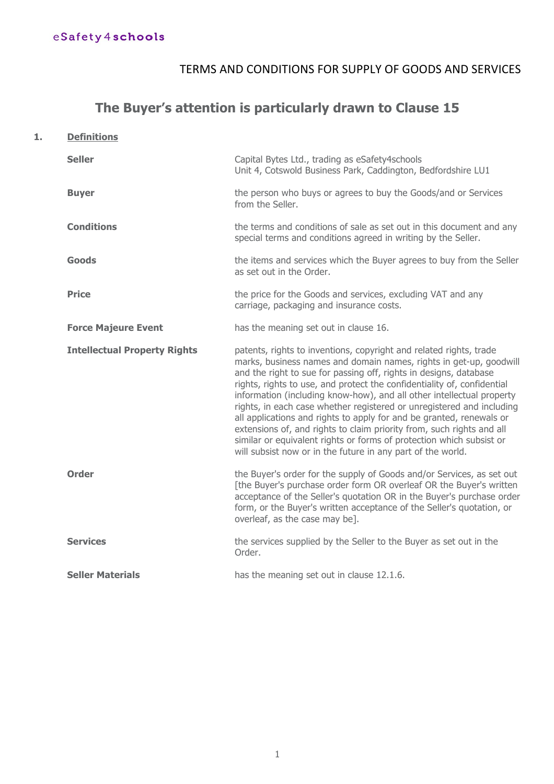# TERMS AND CONDITIONS FOR SUPPLY OF GOODS AND SERVICES

# **The Buyer's attention is particularly drawn to Clause 15**

**1. Definitions**

| <b>Seller</b>                       | Capital Bytes Ltd., trading as eSafety4schools<br>Unit 4, Cotswold Business Park, Caddington, Bedfordshire LU1                                                                                                                                                                                                                                                                                                                                                                                                                                                                                                                                                                                                                     |
|-------------------------------------|------------------------------------------------------------------------------------------------------------------------------------------------------------------------------------------------------------------------------------------------------------------------------------------------------------------------------------------------------------------------------------------------------------------------------------------------------------------------------------------------------------------------------------------------------------------------------------------------------------------------------------------------------------------------------------------------------------------------------------|
| <b>Buyer</b>                        | the person who buys or agrees to buy the Goods/and or Services<br>from the Seller.                                                                                                                                                                                                                                                                                                                                                                                                                                                                                                                                                                                                                                                 |
| <b>Conditions</b>                   | the terms and conditions of sale as set out in this document and any<br>special terms and conditions agreed in writing by the Seller.                                                                                                                                                                                                                                                                                                                                                                                                                                                                                                                                                                                              |
| <b>Goods</b>                        | the items and services which the Buyer agrees to buy from the Seller<br>as set out in the Order.                                                                                                                                                                                                                                                                                                                                                                                                                                                                                                                                                                                                                                   |
| <b>Price</b>                        | the price for the Goods and services, excluding VAT and any<br>carriage, packaging and insurance costs.                                                                                                                                                                                                                                                                                                                                                                                                                                                                                                                                                                                                                            |
| <b>Force Majeure Event</b>          | has the meaning set out in clause 16.                                                                                                                                                                                                                                                                                                                                                                                                                                                                                                                                                                                                                                                                                              |
| <b>Intellectual Property Rights</b> | patents, rights to inventions, copyright and related rights, trade<br>marks, business names and domain names, rights in get-up, goodwill<br>and the right to sue for passing off, rights in designs, database<br>rights, rights to use, and protect the confidentiality of, confidential<br>information (including know-how), and all other intellectual property<br>rights, in each case whether registered or unregistered and including<br>all applications and rights to apply for and be granted, renewals or<br>extensions of, and rights to claim priority from, such rights and all<br>similar or equivalent rights or forms of protection which subsist or<br>will subsist now or in the future in any part of the world. |
| <b>Order</b>                        | the Buyer's order for the supply of Goods and/or Services, as set out<br>[the Buyer's purchase order form OR overleaf OR the Buyer's written<br>acceptance of the Seller's quotation OR in the Buyer's purchase order<br>form, or the Buyer's written acceptance of the Seller's quotation, or<br>overleaf, as the case may be].                                                                                                                                                                                                                                                                                                                                                                                                   |
| <b>Services</b>                     | the services supplied by the Seller to the Buyer as set out in the<br>Order.                                                                                                                                                                                                                                                                                                                                                                                                                                                                                                                                                                                                                                                       |
| <b>Seller Materials</b>             | has the meaning set out in clause 12.1.6.                                                                                                                                                                                                                                                                                                                                                                                                                                                                                                                                                                                                                                                                                          |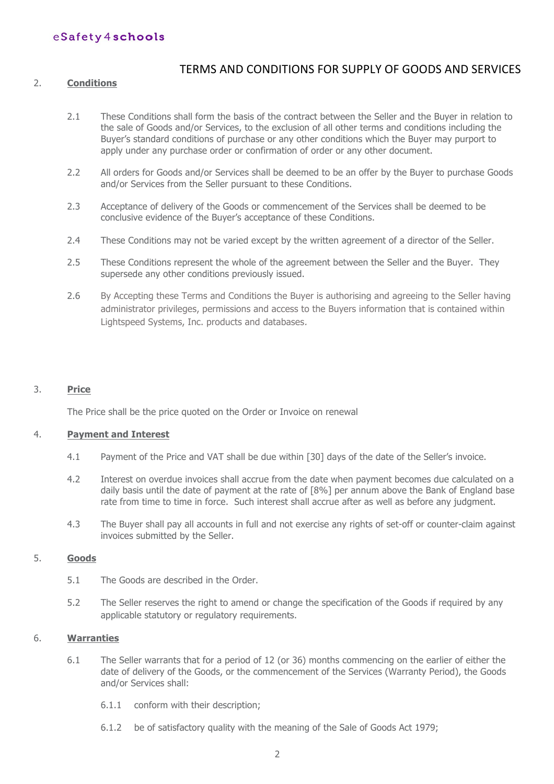### TERMS AND CONDITIONS FOR SUPPLY OF GOODS AND SERVICES

#### 2. **Conditions**

- 2.1 These Conditions shall form the basis of the contract between the Seller and the Buyer in relation to the sale of Goods and/or Services, to the exclusion of all other terms and conditions including the Buyer's standard conditions of purchase or any other conditions which the Buyer may purport to apply under any purchase order or confirmation of order or any other document.
- 2.2 All orders for Goods and/or Services shall be deemed to be an offer by the Buyer to purchase Goods and/or Services from the Seller pursuant to these Conditions.
- 2.3 Acceptance of delivery of the Goods or commencement of the Services shall be deemed to be conclusive evidence of the Buyer's acceptance of these Conditions.
- 2.4 These Conditions may not be varied except by the written agreement of a director of the Seller.
- 2.5 These Conditions represent the whole of the agreement between the Seller and the Buyer. They supersede any other conditions previously issued.
- 2.6 By Accepting these Terms and Conditions the Buyer is authorising and agreeing to the Seller having administrator privileges, permissions and access to the Buyers information that is contained within Lightspeed Systems, Inc. products and databases.

#### 3. **Price**

The Price shall be the price quoted on the Order or Invoice on renewal

#### 4. **Payment and Interest**

- 4.1 Payment of the Price and VAT shall be due within [30] days of the date of the Seller's invoice.
- 4.2 Interest on overdue invoices shall accrue from the date when payment becomes due calculated on a daily basis until the date of payment at the rate of [8%] per annum above the Bank of England base rate from time to time in force. Such interest shall accrue after as well as before any judgment.
- 4.3 The Buyer shall pay all accounts in full and not exercise any rights of set-off or counter-claim against invoices submitted by the Seller.

### 5. **Goods**

- 5.1 The Goods are described in the Order.
- 5.2 The Seller reserves the right to amend or change the specification of the Goods if required by any applicable statutory or regulatory requirements.

#### 6. **Warranties**

- 6.1 The Seller warrants that for a period of 12 (or 36) months commencing on the earlier of either the date of delivery of the Goods, or the commencement of the Services (Warranty Period), the Goods and/or Services shall:
	- 6.1.1 conform with their description;
	- 6.1.2 be of satisfactory quality with the meaning of the Sale of Goods Act 1979;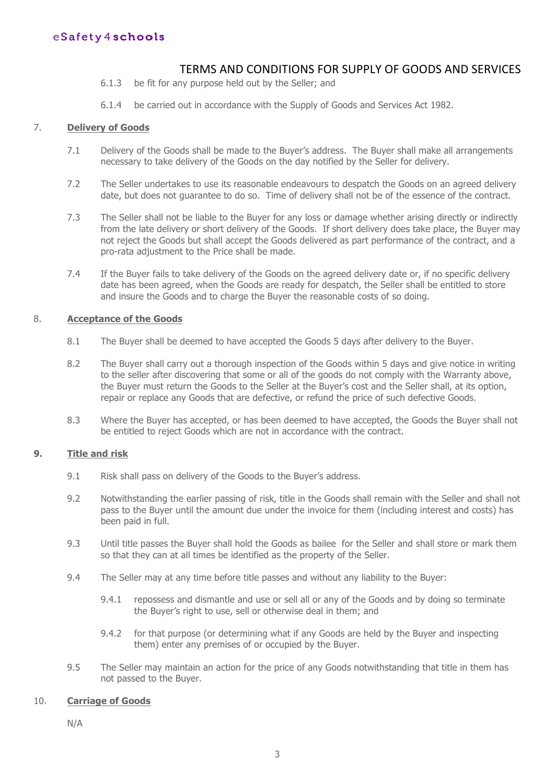### TERMS AND CONDITIONS FOR SUPPLY OF GOODS AND SERVICES

- 6.1.3 be fit for any purpose held out by the Seller; and
- 6.1.4 be carried out in accordance with the Supply of Goods and Services Act 1982.

#### 7. **Delivery of Goods**

- 7.1 Delivery of the Goods shall be made to the Buyer's address. The Buyer shall make all arrangements necessary to take delivery of the Goods on the day notified by the Seller for delivery.
- 7.2 The Seller undertakes to use its reasonable endeavours to despatch the Goods on an agreed delivery date, but does not guarantee to do so. Time of delivery shall not be of the essence of the contract.
- 7.3 The Seller shall not be liable to the Buyer for any loss or damage whether arising directly or indirectly from the late delivery or short delivery of the Goods. If short delivery does take place, the Buyer may not reject the Goods but shall accept the Goods delivered as part performance of the contract, and a pro-rata adjustment to the Price shall be made.
- 7.4 If the Buyer fails to take delivery of the Goods on the agreed delivery date or, if no specific delivery date has been agreed, when the Goods are ready for despatch, the Seller shall be entitled to store and insure the Goods and to charge the Buyer the reasonable costs of so doing.

#### 8. **Acceptance of the Goods**

- 8.1 The Buyer shall be deemed to have accepted the Goods 5 days after delivery to the Buyer.
- 8.2 The Buyer shall carry out a thorough inspection of the Goods within 5 days and give notice in writing to the seller after discovering that some or all of the goods do not comply with the Warranty above, the Buyer must return the Goods to the Seller at the Buyer's cost and the Seller shall, at its option, repair or replace any Goods that are defective, or refund the price of such defective Goods.
- 8.3 Where the Buyer has accepted, or has been deemed to have accepted, the Goods the Buyer shall not be entitled to reject Goods which are not in accordance with the contract.

#### **9. Title and risk**

- 9.1 Risk shall pass on delivery of the Goods to the Buyer's address.
- 9.2 Notwithstanding the earlier passing of risk, title in the Goods shall remain with the Seller and shall not pass to the Buyer until the amount due under the invoice for them (including interest and costs) has been paid in full.
- 9.3 Until title passes the Buyer shall hold the Goods as bailee for the Seller and shall store or mark them so that they can at all times be identified as the property of the Seller.
- 9.4 The Seller may at any time before title passes and without any liability to the Buyer:
	- 9.4.1 repossess and dismantle and use or sell all or any of the Goods and by doing so terminate the Buyer's right to use, sell or otherwise deal in them; and
	- 9.4.2 for that purpose (or determining what if any Goods are held by the Buyer and inspecting them) enter any premises of or occupied by the Buyer.
- 9.5 The Seller may maintain an action for the price of any Goods notwithstanding that title in them has not passed to the Buyer.

### 10. **Carriage of Goods**

N/A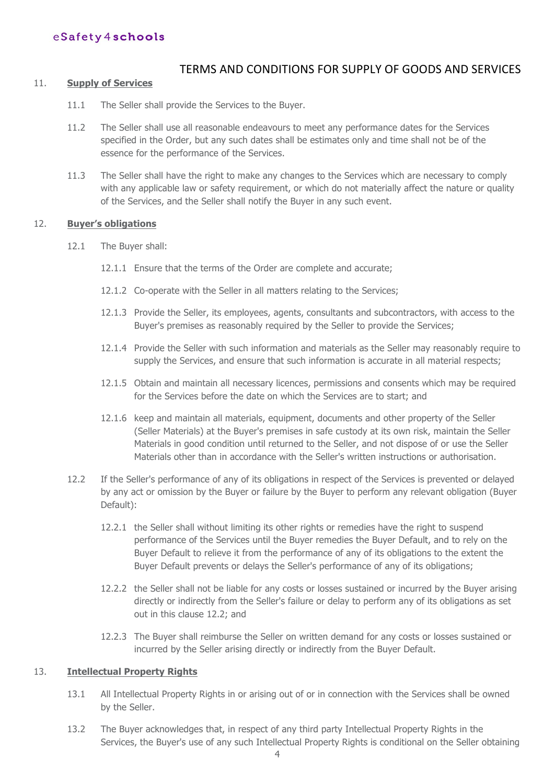### TERMS AND CONDITIONS FOR SUPPLY OF GOODS AND SERVICES

#### 11. **Supply of Services**

- 11.1 The Seller shall provide the Services to the Buyer.
- 11.2 The Seller shall use all reasonable endeavours to meet any performance dates for the Services specified in the Order, but any such dates shall be estimates only and time shall not be of the essence for the performance of the Services.
- 11.3 The Seller shall have the right to make any changes to the Services which are necessary to comply with any applicable law or safety requirement, or which do not materially affect the nature or quality of the Services, and the Seller shall notify the Buyer in any such event.

#### 12. **Buyer's obligations**

- 12.1 The Buyer shall:
	- 12.1.1 Ensure that the terms of the Order are complete and accurate;
	- 12.1.2 Co-operate with the Seller in all matters relating to the Services;
	- 12.1.3 Provide the Seller, its employees, agents, consultants and subcontractors, with access to the Buyer's premises as reasonably required by the Seller to provide the Services;
	- 12.1.4 Provide the Seller with such information and materials as the Seller may reasonably require to supply the Services, and ensure that such information is accurate in all material respects;
	- 12.1.5 Obtain and maintain all necessary licences, permissions and consents which may be required for the Services before the date on which the Services are to start; and
	- 12.1.6 keep and maintain all materials, equipment, documents and other property of the Seller (Seller Materials) at the Buyer's premises in safe custody at its own risk, maintain the Seller Materials in good condition until returned to the Seller, and not dispose of or use the Seller Materials other than in accordance with the Seller's written instructions or authorisation.
- 12.2 If the Seller's performance of any of its obligations in respect of the Services is prevented or delayed by any act or omission by the Buyer or failure by the Buyer to perform any relevant obligation (Buyer Default):
	- 12.2.1 the Seller shall without limiting its other rights or remedies have the right to suspend performance of the Services until the Buyer remedies the Buyer Default, and to rely on the Buyer Default to relieve it from the performance of any of its obligations to the extent the Buyer Default prevents or delays the Seller's performance of any of its obligations;
	- 12.2.2 the Seller shall not be liable for any costs or losses sustained or incurred by the Buyer arising directly or indirectly from the Seller's failure or delay to perform any of its obligations as set out in this clause 12.2; and
	- 12.2.3 The Buyer shall reimburse the Seller on written demand for any costs or losses sustained or incurred by the Seller arising directly or indirectly from the Buyer Default.

#### 13. **Intellectual Property Rights**

- 13.1 All Intellectual Property Rights in or arising out of or in connection with the Services shall be owned by the Seller.
- 13.2 The Buyer acknowledges that, in respect of any third party Intellectual Property Rights in the Services, the Buyer's use of any such Intellectual Property Rights is conditional on the Seller obtaining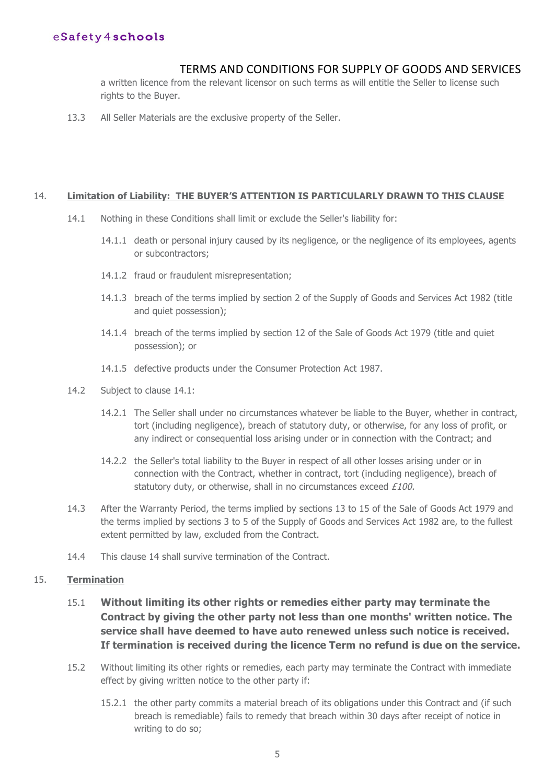# TERMS AND CONDITIONS FOR SUPPLY OF GOODS AND SERVICES

a written licence from the relevant licensor on such terms as will entitle the Seller to license such rights to the Buyer.

13.3 All Seller Materials are the exclusive property of the Seller.

#### 14. **Limitation of Liability: THE BUYER'S ATTENTION IS PARTICULARLY DRAWN TO THIS CLAUSE**

- 14.1 Nothing in these Conditions shall limit or exclude the Seller's liability for:
	- 14.1.1 death or personal injury caused by its negligence, or the negligence of its employees, agents or subcontractors;
	- 14.1.2 fraud or fraudulent misrepresentation;
	- 14.1.3 breach of the terms implied by section 2 of the Supply of Goods and Services Act 1982 (title and quiet possession);
	- 14.1.4 breach of the terms implied by section 12 of the Sale of Goods Act 1979 (title and quiet possession); or
	- 14.1.5 defective products under the Consumer Protection Act 1987.
- 14.2 Subject to clause 14.1:
	- 14.2.1 The Seller shall under no circumstances whatever be liable to the Buyer, whether in contract, tort (including negligence), breach of statutory duty, or otherwise, for any loss of profit, or any indirect or consequential loss arising under or in connection with the Contract; and
	- 14.2.2 the Seller's total liability to the Buyer in respect of all other losses arising under or in connection with the Contract, whether in contract, tort (including negligence), breach of statutory duty, or otherwise, shall in no circumstances exceed £100.
- 14.3 After the Warranty Period, the terms implied by sections 13 to 15 of the Sale of Goods Act 1979 and the terms implied by sections 3 to 5 of the Supply of Goods and Services Act 1982 are, to the fullest extent permitted by law, excluded from the Contract.
- 14.4 This clause 14 shall survive termination of the Contract.

### 15. **Termination**

- 15.1 **Without limiting its other rights or remedies either party may terminate the Contract by giving the other party not less than one months' written notice. The service shall have deemed to have auto renewed unless such notice is received. If termination is received during the licence Term no refund is due on the service.**
- 15.2 Without limiting its other rights or remedies, each party may terminate the Contract with immediate effect by giving written notice to the other party if:
	- 15.2.1 the other party commits a material breach of its obligations under this Contract and (if such breach is remediable) fails to remedy that breach within 30 days after receipt of notice in writing to do so;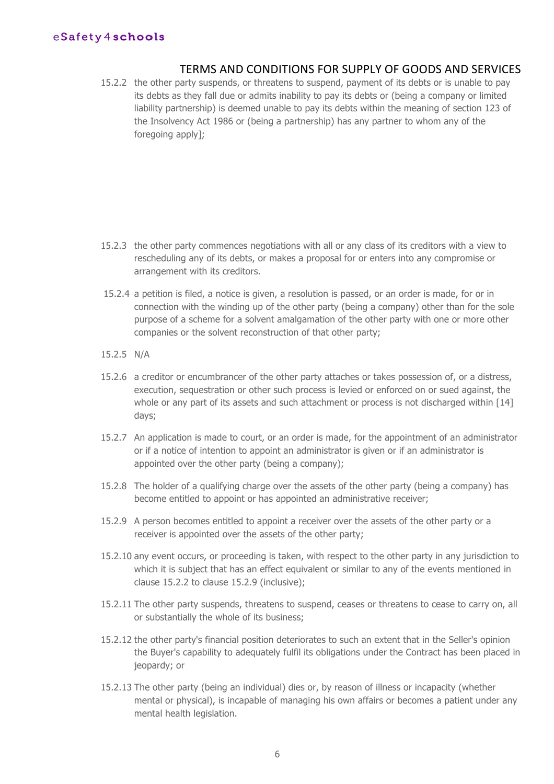### TERMS AND CONDITIONS FOR SUPPLY OF GOODS AND SERVICES

15.2.2 the other party suspends, or threatens to suspend, payment of its debts or is unable to pay its debts as they fall due or admits inability to pay its debts or (being a company or limited liability partnership) is deemed unable to pay its debts within the meaning of section 123 of the Insolvency Act 1986 or (being a partnership) has any partner to whom any of the foregoing apply];

- 15.2.3 the other party commences negotiations with all or any class of its creditors with a view to rescheduling any of its debts, or makes a proposal for or enters into any compromise or arrangement with its creditors.
- 15.2.4 a petition is filed, a notice is given, a resolution is passed, or an order is made, for or in connection with the winding up of the other party (being a company) other than for the sole purpose of a scheme for a solvent amalgamation of the other party with one or more other companies or the solvent reconstruction of that other party;
- 15.2.5 N/A
- 15.2.6 a creditor or encumbrancer of the other party attaches or takes possession of, or a distress, execution, sequestration or other such process is levied or enforced on or sued against, the whole or any part of its assets and such attachment or process is not discharged within [14] days;
- 15.2.7 An application is made to court, or an order is made, for the appointment of an administrator or if a notice of intention to appoint an administrator is given or if an administrator is appointed over the other party (being a company);
- 15.2.8 The holder of a qualifying charge over the assets of the other party (being a company) has become entitled to appoint or has appointed an administrative receiver;
- 15.2.9 A person becomes entitled to appoint a receiver over the assets of the other party or a receiver is appointed over the assets of the other party;
- 15.2.10 any event occurs, or proceeding is taken, with respect to the other party in any jurisdiction to which it is subject that has an effect equivalent or similar to any of the events mentioned in clause 15.2.2 to clause 15.2.9 (inclusive);
- 15.2.11 The other party suspends, threatens to suspend, ceases or threatens to cease to carry on, all or substantially the whole of its business;
- 15.2.12 the other party's financial position deteriorates to such an extent that in the Seller's opinion the Buyer's capability to adequately fulfil its obligations under the Contract has been placed in jeopardy; or
- 15.2.13 The other party (being an individual) dies or, by reason of illness or incapacity (whether mental or physical), is incapable of managing his own affairs or becomes a patient under any mental health legislation.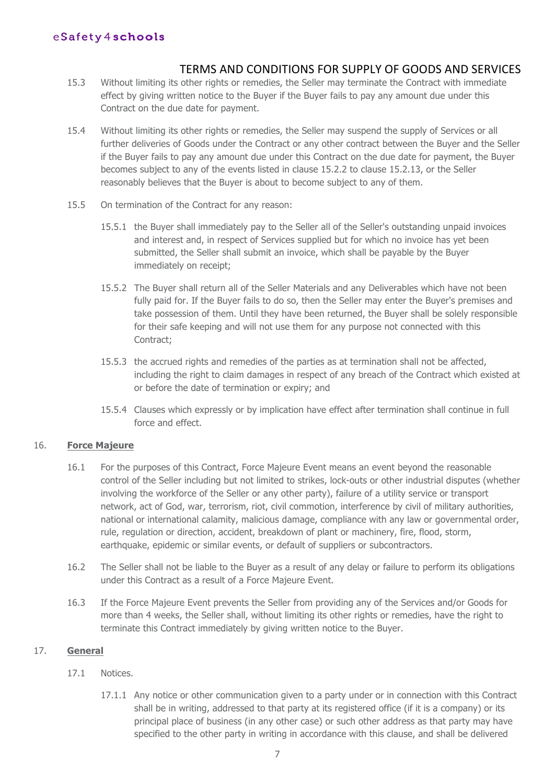### TERMS AND CONDITIONS FOR SUPPLY OF GOODS AND SERVICES

- 15.3 Without limiting its other rights or remedies, the Seller may terminate the Contract with immediate effect by giving written notice to the Buyer if the Buyer fails to pay any amount due under this Contract on the due date for payment.
- 15.4 Without limiting its other rights or remedies, the Seller may suspend the supply of Services or all further deliveries of Goods under the Contract or any other contract between the Buyer and the Seller if the Buyer fails to pay any amount due under this Contract on the due date for payment, the Buyer becomes subject to any of the events listed in clause 15.2.2 to clause 15.2.13, or the Seller reasonably believes that the Buyer is about to become subject to any of them.
- 15.5 On termination of the Contract for any reason:
	- 15.5.1 the Buyer shall immediately pay to the Seller all of the Seller's outstanding unpaid invoices and interest and, in respect of Services supplied but for which no invoice has yet been submitted, the Seller shall submit an invoice, which shall be payable by the Buyer immediately on receipt;
	- 15.5.2 The Buyer shall return all of the Seller Materials and any Deliverables which have not been fully paid for. If the Buyer fails to do so, then the Seller may enter the Buyer's premises and take possession of them. Until they have been returned, the Buyer shall be solely responsible for their safe keeping and will not use them for any purpose not connected with this Contract;
	- 15.5.3 the accrued rights and remedies of the parties as at termination shall not be affected, including the right to claim damages in respect of any breach of the Contract which existed at or before the date of termination or expiry; and
	- 15.5.4 Clauses which expressly or by implication have effect after termination shall continue in full force and effect.

### 16. **Force Majeure**

- 16.1 For the purposes of this Contract, Force Majeure Event means an event beyond the reasonable control of the Seller including but not limited to strikes, lock-outs or other industrial disputes (whether involving the workforce of the Seller or any other party), failure of a utility service or transport network, act of God, war, terrorism, riot, civil commotion, interference by civil of military authorities, national or international calamity, malicious damage, compliance with any law or governmental order, rule, regulation or direction, accident, breakdown of plant or machinery, fire, flood, storm, earthquake, epidemic or similar events, or default of suppliers or subcontractors.
- 16.2 The Seller shall not be liable to the Buyer as a result of any delay or failure to perform its obligations under this Contract as a result of a Force Majeure Event.
- 16.3 If the Force Majeure Event prevents the Seller from providing any of the Services and/or Goods for more than 4 weeks, the Seller shall, without limiting its other rights or remedies, have the right to terminate this Contract immediately by giving written notice to the Buyer.

#### 17. **General**

#### 17.1 Notices.

17.1.1 Any notice or other communication given to a party under or in connection with this Contract shall be in writing, addressed to that party at its registered office (if it is a company) or its principal place of business (in any other case) or such other address as that party may have specified to the other party in writing in accordance with this clause, and shall be delivered